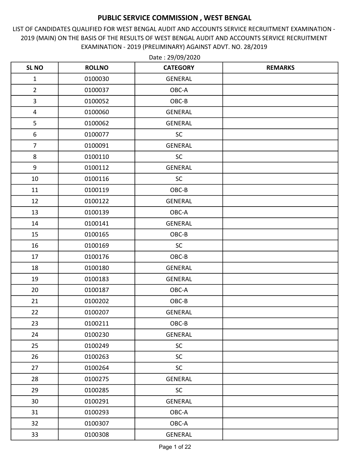LIST OF CANDIDATES QUALIFIED FOR WEST BENGAL AUDIT AND ACCOUNTS SERVICE RECRUITMENT EXAMINATION - 2019 (MAIN) ON THE BASIS OF THE RESULTS OF WEST BENGAL AUDIT AND ACCOUNTS SERVICE RECRUITMENT EXAMINATION - 2019 (PRELIMINARY) AGAINST ADVT. NO. 28/2019

| <b>SL NO</b>            | <b>ROLLNO</b> | <b>CATEGORY</b> | <b>REMARKS</b> |
|-------------------------|---------------|-----------------|----------------|
| $\mathbf 1$             | 0100030       | <b>GENERAL</b>  |                |
| $\overline{2}$          | 0100037       | OBC-A           |                |
| $\overline{3}$          | 0100052       | OBC-B           |                |
| $\overline{\mathbf{4}}$ | 0100060       | <b>GENERAL</b>  |                |
| 5                       | 0100062       | <b>GENERAL</b>  |                |
| 6                       | 0100077       | SC              |                |
| $\overline{7}$          | 0100091       | <b>GENERAL</b>  |                |
| 8                       | 0100110       | SC              |                |
| $\boldsymbol{9}$        | 0100112       | <b>GENERAL</b>  |                |
| 10                      | 0100116       | SC              |                |
| 11                      | 0100119       | OBC-B           |                |
| 12                      | 0100122       | <b>GENERAL</b>  |                |
| 13                      | 0100139       | OBC-A           |                |
| 14                      | 0100141       | <b>GENERAL</b>  |                |
| 15                      | 0100165       | OBC-B           |                |
| 16                      | 0100169       | <b>SC</b>       |                |
| 17                      | 0100176       | OBC-B           |                |
| 18                      | 0100180       | <b>GENERAL</b>  |                |
| 19                      | 0100183       | <b>GENERAL</b>  |                |
| 20                      | 0100187       | OBC-A           |                |
| 21                      | 0100202       | OBC-B           |                |
| 22                      | 0100207       | <b>GENERAL</b>  |                |
| 23                      | 0100211       | OBC-B           |                |
| 24                      | 0100230       | GENERAL         |                |
| 25                      | 0100249       | SC              |                |
| 26                      | 0100263       | <b>SC</b>       |                |
| 27                      | 0100264       | SC              |                |
| 28                      | 0100275       | <b>GENERAL</b>  |                |
| 29                      | 0100285       | <b>SC</b>       |                |
| 30                      | 0100291       | <b>GENERAL</b>  |                |
| 31                      | 0100293       | OBC-A           |                |
| 32                      | 0100307       | OBC-A           |                |
| 33                      | 0100308       | GENERAL         |                |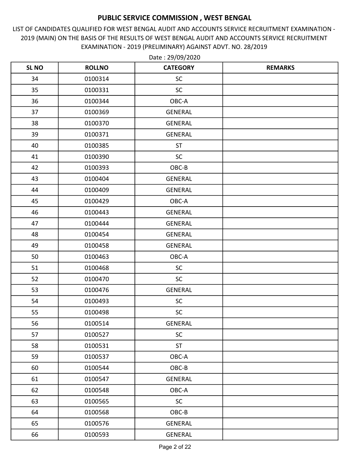LIST OF CANDIDATES QUALIFIED FOR WEST BENGAL AUDIT AND ACCOUNTS SERVICE RECRUITMENT EXAMINATION - 2019 (MAIN) ON THE BASIS OF THE RESULTS OF WEST BENGAL AUDIT AND ACCOUNTS SERVICE RECRUITMENT EXAMINATION - 2019 (PRELIMINARY) AGAINST ADVT. NO. 28/2019

| <b>SL NO</b> | <b>ROLLNO</b> | <b>CATEGORY</b> | <b>REMARKS</b> |
|--------------|---------------|-----------------|----------------|
| 34           | 0100314       | <b>SC</b>       |                |
| 35           | 0100331       | <b>SC</b>       |                |
| 36           | 0100344       | OBC-A           |                |
| 37           | 0100369       | GENERAL         |                |
| 38           | 0100370       | <b>GENERAL</b>  |                |
| 39           | 0100371       | <b>GENERAL</b>  |                |
| 40           | 0100385       | <b>ST</b>       |                |
| 41           | 0100390       | <b>SC</b>       |                |
| 42           | 0100393       | OBC-B           |                |
| 43           | 0100404       | <b>GENERAL</b>  |                |
| 44           | 0100409       | <b>GENERAL</b>  |                |
| 45           | 0100429       | OBC-A           |                |
| 46           | 0100443       | <b>GENERAL</b>  |                |
| 47           | 0100444       | <b>GENERAL</b>  |                |
| 48           | 0100454       | <b>GENERAL</b>  |                |
| 49           | 0100458       | <b>GENERAL</b>  |                |
| 50           | 0100463       | OBC-A           |                |
| 51           | 0100468       | SC              |                |
| 52           | 0100470       | <b>SC</b>       |                |
| 53           | 0100476       | <b>GENERAL</b>  |                |
| 54           | 0100493       | <b>SC</b>       |                |
| 55           | 0100498       | SC              |                |
| 56           | 0100514       | GENERAL         |                |
| 57           | 0100527       | <b>SC</b>       |                |
| 58           | 0100531       | <b>ST</b>       |                |
| 59           | 0100537       | OBC-A           |                |
| 60           | 0100544       | $OBC-B$         |                |
| 61           | 0100547       | GENERAL         |                |
| 62           | 0100548       | OBC-A           |                |
| 63           | 0100565       | SC              |                |
| 64           | 0100568       | OBC-B           |                |
| 65           | 0100576       | GENERAL         |                |
| 66           | 0100593       | GENERAL         |                |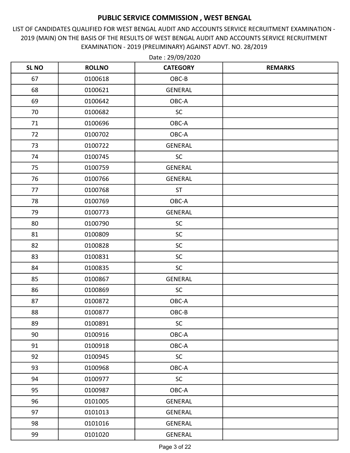LIST OF CANDIDATES QUALIFIED FOR WEST BENGAL AUDIT AND ACCOUNTS SERVICE RECRUITMENT EXAMINATION - 2019 (MAIN) ON THE BASIS OF THE RESULTS OF WEST BENGAL AUDIT AND ACCOUNTS SERVICE RECRUITMENT EXAMINATION - 2019 (PRELIMINARY) AGAINST ADVT. NO. 28/2019

| <b>SL NO</b> | <b>ROLLNO</b> | <b>CATEGORY</b> | <b>REMARKS</b> |
|--------------|---------------|-----------------|----------------|
| 67           | 0100618       | OBC-B           |                |
| 68           | 0100621       | <b>GENERAL</b>  |                |
| 69           | 0100642       | OBC-A           |                |
| 70           | 0100682       | <b>SC</b>       |                |
| 71           | 0100696       | OBC-A           |                |
| 72           | 0100702       | OBC-A           |                |
| 73           | 0100722       | <b>GENERAL</b>  |                |
| 74           | 0100745       | <b>SC</b>       |                |
| 75           | 0100759       | <b>GENERAL</b>  |                |
| 76           | 0100766       | <b>GENERAL</b>  |                |
| 77           | 0100768       | <b>ST</b>       |                |
| 78           | 0100769       | OBC-A           |                |
| 79           | 0100773       | <b>GENERAL</b>  |                |
| 80           | 0100790       | SC              |                |
| 81           | 0100809       | <b>SC</b>       |                |
| 82           | 0100828       | <b>SC</b>       |                |
| 83           | 0100831       | SC              |                |
| 84           | 0100835       | SC              |                |
| 85           | 0100867       | <b>GENERAL</b>  |                |
| 86           | 0100869       | SC              |                |
| 87           | 0100872       | OBC-A           |                |
| 88           | 0100877       | OBC-B           |                |
| 89           | 0100891       | SC              |                |
| 90           | 0100916       | OBC-A           |                |
| 91           | 0100918       | OBC-A           |                |
| 92           | 0100945       | $\sf SC$        |                |
| 93           | 0100968       | OBC-A           |                |
| 94           | 0100977       | <b>SC</b>       |                |
| 95           | 0100987       | OBC-A           |                |
| 96           | 0101005       | <b>GENERAL</b>  |                |
| 97           | 0101013       | <b>GENERAL</b>  |                |
| 98           | 0101016       | GENERAL         |                |
| 99           | 0101020       | GENERAL         |                |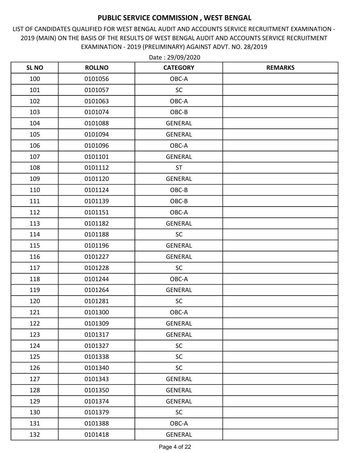LIST OF CANDIDATES QUALIFIED FOR WEST BENGAL AUDIT AND ACCOUNTS SERVICE RECRUITMENT EXAMINATION - 2019 (MAIN) ON THE BASIS OF THE RESULTS OF WEST BENGAL AUDIT AND ACCOUNTS SERVICE RECRUITMENT EXAMINATION - 2019 (PRELIMINARY) AGAINST ADVT. NO. 28/2019

| <b>SL NO</b> | <b>ROLLNO</b> | <b>CATEGORY</b> | <b>REMARKS</b> |
|--------------|---------------|-----------------|----------------|
| 100          | 0101056       | OBC-A           |                |
| 101          | 0101057       | <b>SC</b>       |                |
| 102          | 0101063       | OBC-A           |                |
| 103          | 0101074       | OBC-B           |                |
| 104          | 0101088       | <b>GENERAL</b>  |                |
| 105          | 0101094       | <b>GENERAL</b>  |                |
| 106          | 0101096       | OBC-A           |                |
| 107          | 0101101       | <b>GENERAL</b>  |                |
| 108          | 0101112       | <b>ST</b>       |                |
| 109          | 0101120       | <b>GENERAL</b>  |                |
| 110          | 0101124       | OBC-B           |                |
| 111          | 0101139       | OBC-B           |                |
| 112          | 0101151       | OBC-A           |                |
| 113          | 0101182       | <b>GENERAL</b>  |                |
| 114          | 0101188       | <b>SC</b>       |                |
| 115          | 0101196       | <b>GENERAL</b>  |                |
| 116          | 0101227       | <b>GENERAL</b>  |                |
| 117          | 0101228       | SC              |                |
| 118          | 0101244       | OBC-A           |                |
| 119          | 0101264       | <b>GENERAL</b>  |                |
| 120          | 0101281       | <b>SC</b>       |                |
| 121          | 0101300       | OBC-A           |                |
| 122          | 0101309       | <b>GENERAL</b>  |                |
| 123          | 0101317       | <b>GENERAL</b>  |                |
| 124          | 0101327       | SC              |                |
| 125          | 0101338       | <b>SC</b>       |                |
| 126          | 0101340       | <b>SC</b>       |                |
| 127          | 0101343       | <b>GENERAL</b>  |                |
| 128          | 0101350       | <b>GENERAL</b>  |                |
| 129          | 0101374       | <b>GENERAL</b>  |                |
| 130          | 0101379       | SC              |                |
| 131          | 0101388       | OBC-A           |                |
| 132          | 0101418       | GENERAL         |                |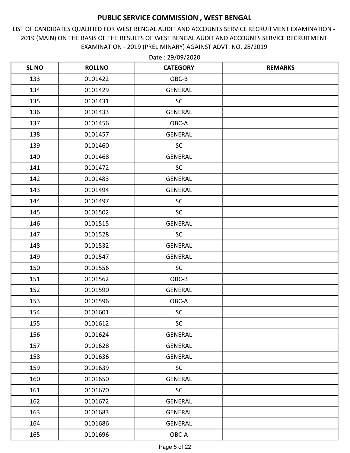LIST OF CANDIDATES QUALIFIED FOR WEST BENGAL AUDIT AND ACCOUNTS SERVICE RECRUITMENT EXAMINATION - 2019 (MAIN) ON THE BASIS OF THE RESULTS OF WEST BENGAL AUDIT AND ACCOUNTS SERVICE RECRUITMENT EXAMINATION - 2019 (PRELIMINARY) AGAINST ADVT. NO. 28/2019

| <b>SL NO</b> | <b>ROLLNO</b> | <b>CATEGORY</b> | <b>REMARKS</b> |
|--------------|---------------|-----------------|----------------|
| 133          | 0101422       | OBC-B           |                |
| 134          | 0101429       | <b>GENERAL</b>  |                |
| 135          | 0101431       | <b>SC</b>       |                |
| 136          | 0101433       | <b>GENERAL</b>  |                |
| 137          | 0101456       | OBC-A           |                |
| 138          | 0101457       | <b>GENERAL</b>  |                |
| 139          | 0101460       | <b>SC</b>       |                |
| 140          | 0101468       | <b>GENERAL</b>  |                |
| 141          | 0101472       | <b>SC</b>       |                |
| 142          | 0101483       | <b>GENERAL</b>  |                |
| 143          | 0101494       | <b>GENERAL</b>  |                |
| 144          | 0101497       | <b>SC</b>       |                |
| 145          | 0101502       | <b>SC</b>       |                |
| 146          | 0101515       | <b>GENERAL</b>  |                |
| 147          | 0101528       | <b>SC</b>       |                |
| 148          | 0101532       | GENERAL         |                |
| 149          | 0101547       | <b>GENERAL</b>  |                |
| 150          | 0101556       | SC              |                |
| 151          | 0101562       | OBC-B           |                |
| 152          | 0101590       | <b>GENERAL</b>  |                |
| 153          | 0101596       | OBC-A           |                |
| 154          | 0101601       | SC              |                |
| 155          | 0101612       | <b>SC</b>       |                |
| 156          | 0101624       | <b>GENERAL</b>  |                |
| 157          | 0101628       | <b>GENERAL</b>  |                |
| 158          | 0101636       | <b>GENERAL</b>  |                |
| 159          | 0101639       | <b>SC</b>       |                |
| 160          | 0101650       | <b>GENERAL</b>  |                |
| 161          | 0101670       | <b>SC</b>       |                |
| 162          | 0101672       | <b>GENERAL</b>  |                |
| 163          | 0101683       | <b>GENERAL</b>  |                |
| 164          | 0101686       | <b>GENERAL</b>  |                |
| 165          | 0101696       | OBC-A           |                |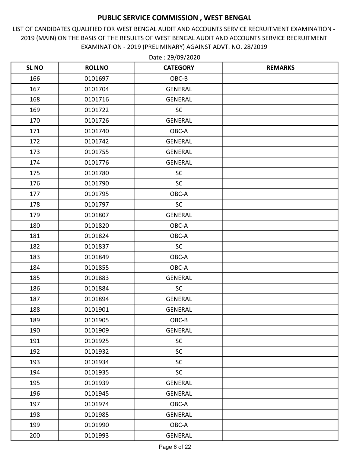LIST OF CANDIDATES QUALIFIED FOR WEST BENGAL AUDIT AND ACCOUNTS SERVICE RECRUITMENT EXAMINATION - 2019 (MAIN) ON THE BASIS OF THE RESULTS OF WEST BENGAL AUDIT AND ACCOUNTS SERVICE RECRUITMENT EXAMINATION - 2019 (PRELIMINARY) AGAINST ADVT. NO. 28/2019

| <b>SL NO</b> | <b>ROLLNO</b> | <b>CATEGORY</b> | <b>REMARKS</b> |
|--------------|---------------|-----------------|----------------|
| 166          | 0101697       | OBC-B           |                |
| 167          | 0101704       | <b>GENERAL</b>  |                |
| 168          | 0101716       | <b>GENERAL</b>  |                |
| 169          | 0101722       | SC              |                |
| 170          | 0101726       | <b>GENERAL</b>  |                |
| 171          | 0101740       | OBC-A           |                |
| 172          | 0101742       | <b>GENERAL</b>  |                |
| 173          | 0101755       | <b>GENERAL</b>  |                |
| 174          | 0101776       | <b>GENERAL</b>  |                |
| 175          | 0101780       | <b>SC</b>       |                |
| 176          | 0101790       | <b>SC</b>       |                |
| 177          | 0101795       | OBC-A           |                |
| 178          | 0101797       | <b>SC</b>       |                |
| 179          | 0101807       | <b>GENERAL</b>  |                |
| 180          | 0101820       | OBC-A           |                |
| 181          | 0101824       | OBC-A           |                |
| 182          | 0101837       | <b>SC</b>       |                |
| 183          | 0101849       | OBC-A           |                |
| 184          | 0101855       | OBC-A           |                |
| 185          | 0101883       | <b>GENERAL</b>  |                |
| 186          | 0101884       | SC              |                |
| 187          | 0101894       | <b>GENERAL</b>  |                |
| 188          | 0101901       | <b>GENERAL</b>  |                |
| 189          | 0101905       | OBC-B           |                |
| 190          | 0101909       | GENERAL         |                |
| 191          | 0101925       | <b>SC</b>       |                |
| 192          | 0101932       | <b>SC</b>       |                |
| 193          | 0101934       | <b>SC</b>       |                |
| 194          | 0101935       | <b>SC</b>       |                |
| 195          | 0101939       | GENERAL         |                |
| 196          | 0101945       | GENERAL         |                |
| 197          | 0101974       | OBC-A           |                |
| 198          | 0101985       | <b>GENERAL</b>  |                |
| 199          | 0101990       | OBC-A           |                |
| 200          | 0101993       | GENERAL         |                |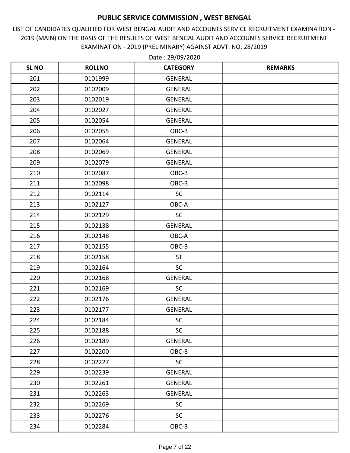LIST OF CANDIDATES QUALIFIED FOR WEST BENGAL AUDIT AND ACCOUNTS SERVICE RECRUITMENT EXAMINATION - 2019 (MAIN) ON THE BASIS OF THE RESULTS OF WEST BENGAL AUDIT AND ACCOUNTS SERVICE RECRUITMENT EXAMINATION - 2019 (PRELIMINARY) AGAINST ADVT. NO. 28/2019

| <b>SL NO</b> | <b>ROLLNO</b> | <b>CATEGORY</b> | <b>REMARKS</b> |
|--------------|---------------|-----------------|----------------|
| 201          | 0101999       | <b>GENERAL</b>  |                |
| 202          | 0102009       | <b>GENERAL</b>  |                |
| 203          | 0102019       | <b>GENERAL</b>  |                |
| 204          | 0102027       | <b>GENERAL</b>  |                |
| 205          | 0102054       | <b>GENERAL</b>  |                |
| 206          | 0102055       | OBC-B           |                |
| 207          | 0102064       | <b>GENERAL</b>  |                |
| 208          | 0102069       | <b>GENERAL</b>  |                |
| 209          | 0102079       | <b>GENERAL</b>  |                |
| 210          | 0102087       | OBC-B           |                |
| 211          | 0102098       | OBC-B           |                |
| 212          | 0102114       | <b>SC</b>       |                |
| 213          | 0102127       | OBC-A           |                |
| 214          | 0102129       | SC              |                |
| 215          | 0102138       | <b>GENERAL</b>  |                |
| 216          | 0102148       | OBC-A           |                |
| 217          | 0102155       | OBC-B           |                |
| 218          | 0102158       | <b>ST</b>       |                |
| 219          | 0102164       | SC              |                |
| 220          | 0102168       | <b>GENERAL</b>  |                |
| 221          | 0102169       | <b>SC</b>       |                |
| 222          | 0102176       | <b>GENERAL</b>  |                |
| 223          | 0102177       | <b>GENERAL</b>  |                |
| 224          | 0102184       | SC              |                |
| 225          | 0102188       | <b>SC</b>       |                |
| 226          | 0102189       | GENERAL         |                |
| 227          | 0102200       | OBC-B           |                |
| 228          | 0102227       | <b>SC</b>       |                |
| 229          | 0102239       | GENERAL         |                |
| 230          | 0102261       | GENERAL         |                |
| 231          | 0102263       | GENERAL         |                |
| 232          | 0102269       | <b>SC</b>       |                |
| 233          | 0102276       | SC              |                |
| 234          | 0102284       | $OBC-B$         |                |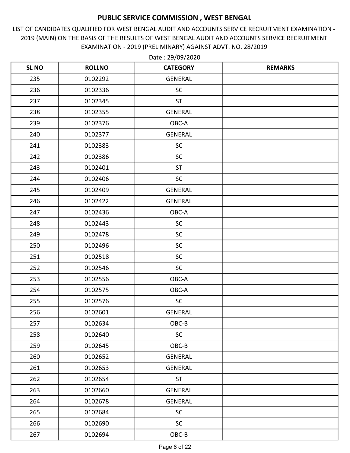LIST OF CANDIDATES QUALIFIED FOR WEST BENGAL AUDIT AND ACCOUNTS SERVICE RECRUITMENT EXAMINATION - 2019 (MAIN) ON THE BASIS OF THE RESULTS OF WEST BENGAL AUDIT AND ACCOUNTS SERVICE RECRUITMENT EXAMINATION - 2019 (PRELIMINARY) AGAINST ADVT. NO. 28/2019

| <b>SL NO</b> | <b>ROLLNO</b> | <b>CATEGORY</b> | <b>REMARKS</b> |
|--------------|---------------|-----------------|----------------|
| 235          | 0102292       | <b>GENERAL</b>  |                |
| 236          | 0102336       | <b>SC</b>       |                |
| 237          | 0102345       | <b>ST</b>       |                |
| 238          | 0102355       | <b>GENERAL</b>  |                |
| 239          | 0102376       | OBC-A           |                |
| 240          | 0102377       | <b>GENERAL</b>  |                |
| 241          | 0102383       | <b>SC</b>       |                |
| 242          | 0102386       | <b>SC</b>       |                |
| 243          | 0102401       | <b>ST</b>       |                |
| 244          | 0102406       | SC              |                |
| 245          | 0102409       | <b>GENERAL</b>  |                |
| 246          | 0102422       | <b>GENERAL</b>  |                |
| 247          | 0102436       | OBC-A           |                |
| 248          | 0102443       | SC              |                |
| 249          | 0102478       | <b>SC</b>       |                |
| 250          | 0102496       | SC              |                |
| 251          | 0102518       | SC              |                |
| 252          | 0102546       | <b>SC</b>       |                |
| 253          | 0102556       | OBC-A           |                |
| 254          | 0102575       | OBC-A           |                |
| 255          | 0102576       | $\sf SC$        |                |
| 256          | 0102601       | <b>GENERAL</b>  |                |
| 257          | 0102634       | OBC-B           |                |
| 258          | 0102640       | <b>SC</b>       |                |
| 259          | 0102645       | OBC-B           |                |
| 260          | 0102652       | <b>GENERAL</b>  |                |
| 261          | 0102653       | <b>GENERAL</b>  |                |
| 262          | 0102654       | <b>ST</b>       |                |
| 263          | 0102660       | GENERAL         |                |
| 264          | 0102678       | <b>GENERAL</b>  |                |
| 265          | 0102684       | SC              |                |
| 266          | 0102690       | <b>SC</b>       |                |
| 267          | 0102694       | $OBC-B$         |                |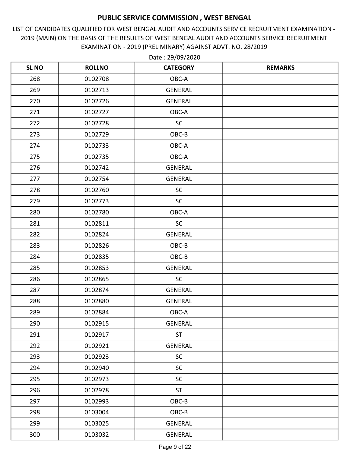LIST OF CANDIDATES QUALIFIED FOR WEST BENGAL AUDIT AND ACCOUNTS SERVICE RECRUITMENT EXAMINATION - 2019 (MAIN) ON THE BASIS OF THE RESULTS OF WEST BENGAL AUDIT AND ACCOUNTS SERVICE RECRUITMENT EXAMINATION - 2019 (PRELIMINARY) AGAINST ADVT. NO. 28/2019

| <b>SL NO</b> | <b>ROLLNO</b> | <b>CATEGORY</b> | <b>REMARKS</b> |
|--------------|---------------|-----------------|----------------|
| 268          | 0102708       | OBC-A           |                |
| 269          | 0102713       | <b>GENERAL</b>  |                |
| 270          | 0102726       | <b>GENERAL</b>  |                |
| 271          | 0102727       | OBC-A           |                |
| 272          | 0102728       | <b>SC</b>       |                |
| 273          | 0102729       | OBC-B           |                |
| 274          | 0102733       | OBC-A           |                |
| 275          | 0102735       | OBC-A           |                |
| 276          | 0102742       | <b>GENERAL</b>  |                |
| 277          | 0102754       | <b>GENERAL</b>  |                |
| 278          | 0102760       | <b>SC</b>       |                |
| 279          | 0102773       | <b>SC</b>       |                |
| 280          | 0102780       | OBC-A           |                |
| 281          | 0102811       | SC              |                |
| 282          | 0102824       | <b>GENERAL</b>  |                |
| 283          | 0102826       | OBC-B           |                |
| 284          | 0102835       | OBC-B           |                |
| 285          | 0102853       | <b>GENERAL</b>  |                |
| 286          | 0102865       | <b>SC</b>       |                |
| 287          | 0102874       | <b>GENERAL</b>  |                |
| 288          | 0102880       | <b>GENERAL</b>  |                |
| 289          | 0102884       | OBC-A           |                |
| 290          | 0102915       | <b>GENERAL</b>  |                |
| 291          | 0102917       | <b>ST</b>       |                |
| 292          | 0102921       | <b>GENERAL</b>  |                |
| 293          | 0102923       | SC              |                |
| 294          | 0102940       | <b>SC</b>       |                |
| 295          | 0102973       | <b>SC</b>       |                |
| 296          | 0102978       | <b>ST</b>       |                |
| 297          | 0102993       | OBC-B           |                |
| 298          | 0103004       | $OBC-B$         |                |
| 299          | 0103025       | GENERAL         |                |
| 300          | 0103032       | GENERAL         |                |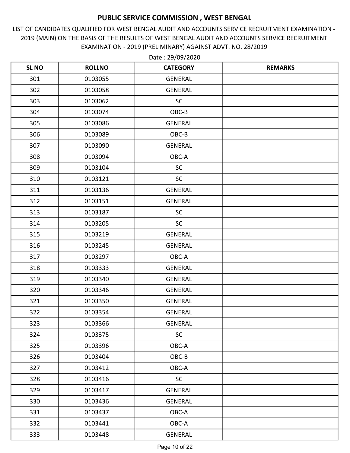LIST OF CANDIDATES QUALIFIED FOR WEST BENGAL AUDIT AND ACCOUNTS SERVICE RECRUITMENT EXAMINATION - 2019 (MAIN) ON THE BASIS OF THE RESULTS OF WEST BENGAL AUDIT AND ACCOUNTS SERVICE RECRUITMENT EXAMINATION - 2019 (PRELIMINARY) AGAINST ADVT. NO. 28/2019

| <b>SL NO</b> | <b>ROLLNO</b> | <b>CATEGORY</b> | <b>REMARKS</b> |
|--------------|---------------|-----------------|----------------|
| 301          | 0103055       | <b>GENERAL</b>  |                |
| 302          | 0103058       | <b>GENERAL</b>  |                |
| 303          | 0103062       | <b>SC</b>       |                |
| 304          | 0103074       | OBC-B           |                |
| 305          | 0103086       | <b>GENERAL</b>  |                |
| 306          | 0103089       | OBC-B           |                |
| 307          | 0103090       | <b>GENERAL</b>  |                |
| 308          | 0103094       | OBC-A           |                |
| 309          | 0103104       | SC              |                |
| 310          | 0103121       | SC              |                |
| 311          | 0103136       | <b>GENERAL</b>  |                |
| 312          | 0103151       | <b>GENERAL</b>  |                |
| 313          | 0103187       | <b>SC</b>       |                |
| 314          | 0103205       | SC              |                |
| 315          | 0103219       | <b>GENERAL</b>  |                |
| 316          | 0103245       | <b>GENERAL</b>  |                |
| 317          | 0103297       | OBC-A           |                |
| 318          | 0103333       | <b>GENERAL</b>  |                |
| 319          | 0103340       | <b>GENERAL</b>  |                |
| 320          | 0103346       | <b>GENERAL</b>  |                |
| 321          | 0103350       | <b>GENERAL</b>  |                |
| 322          | 0103354       | <b>GENERAL</b>  |                |
| 323          | 0103366       | <b>GENERAL</b>  |                |
| 324          | 0103375       | <b>SC</b>       |                |
| 325          | 0103396       | OBC-A           |                |
| 326          | 0103404       | OBC-B           |                |
| 327          | 0103412       | OBC-A           |                |
| 328          | 0103416       | <b>SC</b>       |                |
| 329          | 0103417       | GENERAL         |                |
| 330          | 0103436       | <b>GENERAL</b>  |                |
| 331          | 0103437       | OBC-A           |                |
| 332          | 0103441       | OBC-A           |                |
| 333          | 0103448       | GENERAL         |                |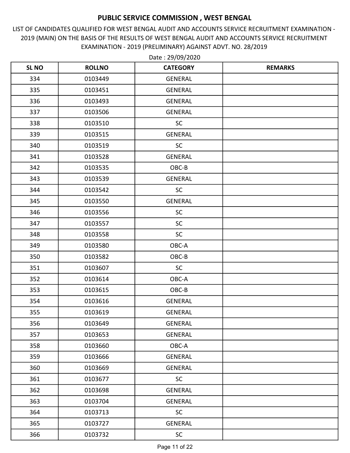LIST OF CANDIDATES QUALIFIED FOR WEST BENGAL AUDIT AND ACCOUNTS SERVICE RECRUITMENT EXAMINATION - 2019 (MAIN) ON THE BASIS OF THE RESULTS OF WEST BENGAL AUDIT AND ACCOUNTS SERVICE RECRUITMENT EXAMINATION - 2019 (PRELIMINARY) AGAINST ADVT. NO. 28/2019

| <b>SL NO</b> | <b>ROLLNO</b> | <b>CATEGORY</b> | <b>REMARKS</b> |
|--------------|---------------|-----------------|----------------|
| 334          | 0103449       | <b>GENERAL</b>  |                |
| 335          | 0103451       | <b>GENERAL</b>  |                |
| 336          | 0103493       | <b>GENERAL</b>  |                |
| 337          | 0103506       | <b>GENERAL</b>  |                |
| 338          | 0103510       | <b>SC</b>       |                |
| 339          | 0103515       | <b>GENERAL</b>  |                |
| 340          | 0103519       | <b>SC</b>       |                |
| 341          | 0103528       | <b>GENERAL</b>  |                |
| 342          | 0103535       | OBC-B           |                |
| 343          | 0103539       | <b>GENERAL</b>  |                |
| 344          | 0103542       | <b>SC</b>       |                |
| 345          | 0103550       | <b>GENERAL</b>  |                |
| 346          | 0103556       | <b>SC</b>       |                |
| 347          | 0103557       | SC              |                |
| 348          | 0103558       | <b>SC</b>       |                |
| 349          | 0103580       | OBC-A           |                |
| 350          | 0103582       | OBC-B           |                |
| 351          | 0103607       | <b>SC</b>       |                |
| 352          | 0103614       | OBC-A           |                |
| 353          | 0103615       | OBC-B           |                |
| 354          | 0103616       | <b>GENERAL</b>  |                |
| 355          | 0103619       | <b>GENERAL</b>  |                |
| 356          | 0103649       | <b>GENERAL</b>  |                |
| 357          | 0103653       | <b>GENERAL</b>  |                |
| 358          | 0103660       | OBC-A           |                |
| 359          | 0103666       | GENERAL         |                |
| 360          | 0103669       | <b>GENERAL</b>  |                |
| 361          | 0103677       | <b>SC</b>       |                |
| 362          | 0103698       | GENERAL         |                |
| 363          | 0103704       | <b>GENERAL</b>  |                |
| 364          | 0103713       | SC              |                |
| 365          | 0103727       | GENERAL         |                |
| 366          | 0103732       | $\sf SC$        |                |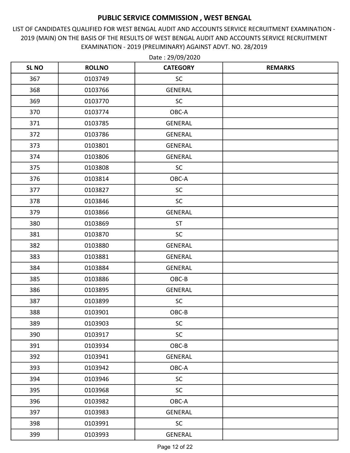LIST OF CANDIDATES QUALIFIED FOR WEST BENGAL AUDIT AND ACCOUNTS SERVICE RECRUITMENT EXAMINATION - 2019 (MAIN) ON THE BASIS OF THE RESULTS OF WEST BENGAL AUDIT AND ACCOUNTS SERVICE RECRUITMENT EXAMINATION - 2019 (PRELIMINARY) AGAINST ADVT. NO. 28/2019

| <b>SL NO</b> | <b>ROLLNO</b> | <b>CATEGORY</b> | <b>REMARKS</b> |
|--------------|---------------|-----------------|----------------|
| 367          | 0103749       | <b>SC</b>       |                |
| 368          | 0103766       | <b>GENERAL</b>  |                |
| 369          | 0103770       | <b>SC</b>       |                |
| 370          | 0103774       | OBC-A           |                |
| 371          | 0103785       | <b>GENERAL</b>  |                |
| 372          | 0103786       | <b>GENERAL</b>  |                |
| 373          | 0103801       | <b>GENERAL</b>  |                |
| 374          | 0103806       | <b>GENERAL</b>  |                |
| 375          | 0103808       | <b>SC</b>       |                |
| 376          | 0103814       | OBC-A           |                |
| 377          | 0103827       | <b>SC</b>       |                |
| 378          | 0103846       | <b>SC</b>       |                |
| 379          | 0103866       | <b>GENERAL</b>  |                |
| 380          | 0103869       | <b>ST</b>       |                |
| 381          | 0103870       | <b>SC</b>       |                |
| 382          | 0103880       | <b>GENERAL</b>  |                |
| 383          | 0103881       | <b>GENERAL</b>  |                |
| 384          | 0103884       | <b>GENERAL</b>  |                |
| 385          | 0103886       | OBC-B           |                |
| 386          | 0103895       | <b>GENERAL</b>  |                |
| 387          | 0103899       | <b>SC</b>       |                |
| 388          | 0103901       | OBC-B           |                |
| 389          | 0103903       | SC              |                |
| 390          | 0103917       | <b>SC</b>       |                |
| 391          | 0103934       | OBC-B           |                |
| 392          | 0103941       | <b>GENERAL</b>  |                |
| 393          | 0103942       | OBC-A           |                |
| 394          | 0103946       | <b>SC</b>       |                |
| 395          | 0103968       | <b>SC</b>       |                |
| 396          | 0103982       | OBC-A           |                |
| 397          | 0103983       | <b>GENERAL</b>  |                |
| 398          | 0103991       | <b>SC</b>       |                |
| 399          | 0103993       | GENERAL         |                |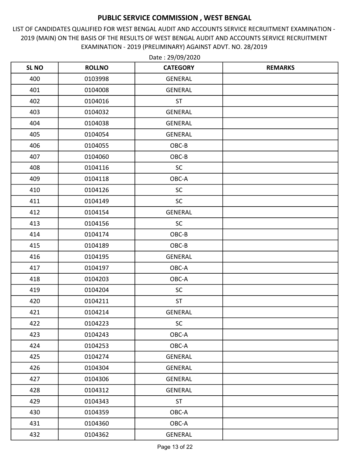LIST OF CANDIDATES QUALIFIED FOR WEST BENGAL AUDIT AND ACCOUNTS SERVICE RECRUITMENT EXAMINATION - 2019 (MAIN) ON THE BASIS OF THE RESULTS OF WEST BENGAL AUDIT AND ACCOUNTS SERVICE RECRUITMENT EXAMINATION - 2019 (PRELIMINARY) AGAINST ADVT. NO. 28/2019

| <b>SL NO</b> | <b>ROLLNO</b> | <b>CATEGORY</b> | <b>REMARKS</b> |
|--------------|---------------|-----------------|----------------|
| 400          | 0103998       | <b>GENERAL</b>  |                |
| 401          | 0104008       | <b>GENERAL</b>  |                |
| 402          | 0104016       | <b>ST</b>       |                |
| 403          | 0104032       | <b>GENERAL</b>  |                |
| 404          | 0104038       | <b>GENERAL</b>  |                |
| 405          | 0104054       | <b>GENERAL</b>  |                |
| 406          | 0104055       | OBC-B           |                |
| 407          | 0104060       | OBC-B           |                |
| 408          | 0104116       | SC              |                |
| 409          | 0104118       | OBC-A           |                |
| 410          | 0104126       | <b>SC</b>       |                |
| 411          | 0104149       | <b>SC</b>       |                |
| 412          | 0104154       | <b>GENERAL</b>  |                |
| 413          | 0104156       | SC              |                |
| 414          | 0104174       | OBC-B           |                |
| 415          | 0104189       | OBC-B           |                |
| 416          | 0104195       | <b>GENERAL</b>  |                |
| 417          | 0104197       | OBC-A           |                |
| 418          | 0104203       | OBC-A           |                |
| 419          | 0104204       | <b>SC</b>       |                |
| 420          | 0104211       | <b>ST</b>       |                |
| 421          | 0104214       | <b>GENERAL</b>  |                |
| 422          | 0104223       | <b>SC</b>       |                |
| 423          | 0104243       | OBC-A           |                |
| 424          | 0104253       | OBC-A           |                |
| 425          | 0104274       | GENERAL         |                |
| 426          | 0104304       | <b>GENERAL</b>  |                |
| 427          | 0104306       | GENERAL         |                |
| 428          | 0104312       | GENERAL         |                |
| 429          | 0104343       | <b>ST</b>       |                |
| 430          | 0104359       | OBC-A           |                |
| 431          | 0104360       | OBC-A           |                |
| 432          | 0104362       | GENERAL         |                |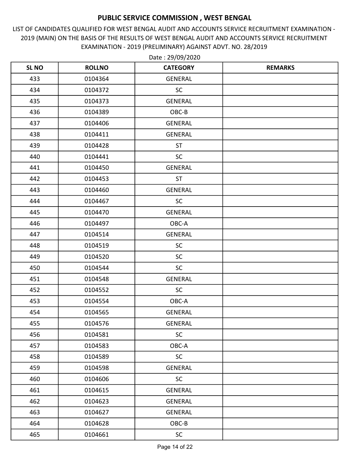LIST OF CANDIDATES QUALIFIED FOR WEST BENGAL AUDIT AND ACCOUNTS SERVICE RECRUITMENT EXAMINATION - 2019 (MAIN) ON THE BASIS OF THE RESULTS OF WEST BENGAL AUDIT AND ACCOUNTS SERVICE RECRUITMENT EXAMINATION - 2019 (PRELIMINARY) AGAINST ADVT. NO. 28/2019

| <b>SL NO</b> | <b>ROLLNO</b> | <b>CATEGORY</b> | <b>REMARKS</b> |
|--------------|---------------|-----------------|----------------|
| 433          | 0104364       | <b>GENERAL</b>  |                |
| 434          | 0104372       | <b>SC</b>       |                |
| 435          | 0104373       | <b>GENERAL</b>  |                |
| 436          | 0104389       | OBC-B           |                |
| 437          | 0104406       | <b>GENERAL</b>  |                |
| 438          | 0104411       | <b>GENERAL</b>  |                |
| 439          | 0104428       | <b>ST</b>       |                |
| 440          | 0104441       | <b>SC</b>       |                |
| 441          | 0104450       | <b>GENERAL</b>  |                |
| 442          | 0104453       | <b>ST</b>       |                |
| 443          | 0104460       | <b>GENERAL</b>  |                |
| 444          | 0104467       | <b>SC</b>       |                |
| 445          | 0104470       | <b>GENERAL</b>  |                |
| 446          | 0104497       | OBC-A           |                |
| 447          | 0104514       | <b>GENERAL</b>  |                |
| 448          | 0104519       | <b>SC</b>       |                |
| 449          | 0104520       | SC              |                |
| 450          | 0104544       | <b>SC</b>       |                |
| 451          | 0104548       | <b>GENERAL</b>  |                |
| 452          | 0104552       | <b>SC</b>       |                |
| 453          | 0104554       | OBC-A           |                |
| 454          | 0104565       | <b>GENERAL</b>  |                |
| 455          | 0104576       | <b>GENERAL</b>  |                |
| 456          | 0104581       | <b>SC</b>       |                |
| 457          | 0104583       | OBC-A           |                |
| 458          | 0104589       | <b>SC</b>       |                |
| 459          | 0104598       | <b>GENERAL</b>  |                |
| 460          | 0104606       | <b>SC</b>       |                |
| 461          | 0104615       | GENERAL         |                |
| 462          | 0104623       | <b>GENERAL</b>  |                |
| 463          | 0104627       | GENERAL         |                |
| 464          | 0104628       | OBC-B           |                |
| 465          | 0104661       | SC              |                |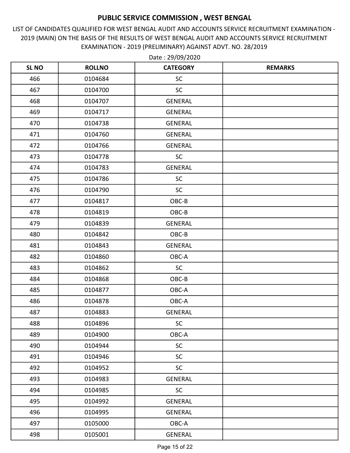LIST OF CANDIDATES QUALIFIED FOR WEST BENGAL AUDIT AND ACCOUNTS SERVICE RECRUITMENT EXAMINATION - 2019 (MAIN) ON THE BASIS OF THE RESULTS OF WEST BENGAL AUDIT AND ACCOUNTS SERVICE RECRUITMENT EXAMINATION - 2019 (PRELIMINARY) AGAINST ADVT. NO. 28/2019

| <b>SL NO</b> | <b>ROLLNO</b> | <b>CATEGORY</b> | <b>REMARKS</b> |
|--------------|---------------|-----------------|----------------|
| 466          | 0104684       | <b>SC</b>       |                |
| 467          | 0104700       | <b>SC</b>       |                |
| 468          | 0104707       | <b>GENERAL</b>  |                |
| 469          | 0104717       | <b>GENERAL</b>  |                |
| 470          | 0104738       | <b>GENERAL</b>  |                |
| 471          | 0104760       | <b>GENERAL</b>  |                |
| 472          | 0104766       | <b>GENERAL</b>  |                |
| 473          | 0104778       | <b>SC</b>       |                |
| 474          | 0104783       | <b>GENERAL</b>  |                |
| 475          | 0104786       | SC              |                |
| 476          | 0104790       | <b>SC</b>       |                |
| 477          | 0104817       | OBC-B           |                |
| 478          | 0104819       | OBC-B           |                |
| 479          | 0104839       | <b>GENERAL</b>  |                |
| 480          | 0104842       | OBC-B           |                |
| 481          | 0104843       | <b>GENERAL</b>  |                |
| 482          | 0104860       | OBC-A           |                |
| 483          | 0104862       | SC              |                |
| 484          | 0104868       | OBC-B           |                |
| 485          | 0104877       | OBC-A           |                |
| 486          | 0104878       | OBC-A           |                |
| 487          | 0104883       | <b>GENERAL</b>  |                |
| 488          | 0104896       | <b>SC</b>       |                |
| 489          | 0104900       | OBC-A           |                |
| 490          | 0104944       | <b>SC</b>       |                |
| 491          | 0104946       | <b>SC</b>       |                |
| 492          | 0104952       | <b>SC</b>       |                |
| 493          | 0104983       | <b>GENERAL</b>  |                |
| 494          | 0104985       | <b>SC</b>       |                |
| 495          | 0104992       | <b>GENERAL</b>  |                |
| 496          | 0104995       | <b>GENERAL</b>  |                |
| 497          | 0105000       | OBC-A           |                |
| 498          | 0105001       | GENERAL         |                |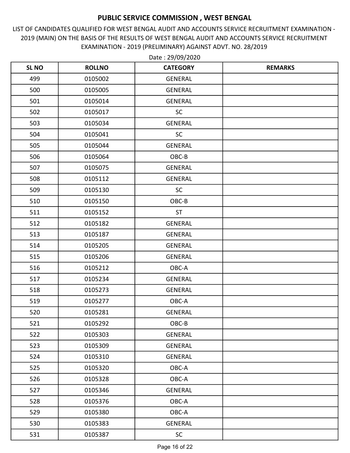LIST OF CANDIDATES QUALIFIED FOR WEST BENGAL AUDIT AND ACCOUNTS SERVICE RECRUITMENT EXAMINATION - 2019 (MAIN) ON THE BASIS OF THE RESULTS OF WEST BENGAL AUDIT AND ACCOUNTS SERVICE RECRUITMENT EXAMINATION - 2019 (PRELIMINARY) AGAINST ADVT. NO. 28/2019

| <b>SL NO</b> | <b>ROLLNO</b> | <b>CATEGORY</b> | <b>REMARKS</b> |
|--------------|---------------|-----------------|----------------|
| 499          | 0105002       | <b>GENERAL</b>  |                |
| 500          | 0105005       | <b>GENERAL</b>  |                |
| 501          | 0105014       | <b>GENERAL</b>  |                |
| 502          | 0105017       | SC              |                |
| 503          | 0105034       | <b>GENERAL</b>  |                |
| 504          | 0105041       | SC              |                |
| 505          | 0105044       | <b>GENERAL</b>  |                |
| 506          | 0105064       | OBC-B           |                |
| 507          | 0105075       | <b>GENERAL</b>  |                |
| 508          | 0105112       | <b>GENERAL</b>  |                |
| 509          | 0105130       | <b>SC</b>       |                |
| 510          | 0105150       | OBC-B           |                |
| 511          | 0105152       | <b>ST</b>       |                |
| 512          | 0105182       | <b>GENERAL</b>  |                |
| 513          | 0105187       | <b>GENERAL</b>  |                |
| 514          | 0105205       | <b>GENERAL</b>  |                |
| 515          | 0105206       | <b>GENERAL</b>  |                |
| 516          | 0105212       | OBC-A           |                |
| 517          | 0105234       | <b>GENERAL</b>  |                |
| 518          | 0105273       | <b>GENERAL</b>  |                |
| 519          | 0105277       | OBC-A           |                |
| 520          | 0105281       | <b>GENERAL</b>  |                |
| 521          | 0105292       | $OBC-B$         |                |
| 522          | 0105303       | <b>GENERAL</b>  |                |
| 523          | 0105309       | GENERAL         |                |
| 524          | 0105310       | GENERAL         |                |
| 525          | 0105320       | OBC-A           |                |
| 526          | 0105328       | OBC-A           |                |
| 527          | 0105346       | GENERAL         |                |
| 528          | 0105376       | OBC-A           |                |
| 529          | 0105380       | OBC-A           |                |
| 530          | 0105383       | GENERAL         |                |
| 531          | 0105387       | SC              |                |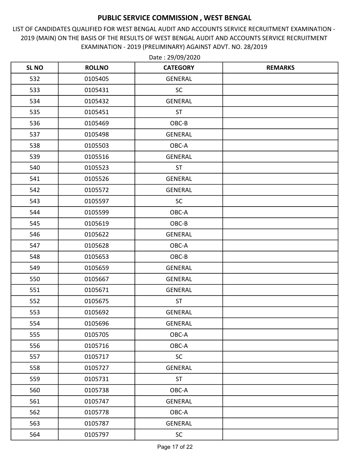LIST OF CANDIDATES QUALIFIED FOR WEST BENGAL AUDIT AND ACCOUNTS SERVICE RECRUITMENT EXAMINATION - 2019 (MAIN) ON THE BASIS OF THE RESULTS OF WEST BENGAL AUDIT AND ACCOUNTS SERVICE RECRUITMENT EXAMINATION - 2019 (PRELIMINARY) AGAINST ADVT. NO. 28/2019

| <b>SL NO</b> | <b>ROLLNO</b> | <b>CATEGORY</b> | <b>REMARKS</b> |
|--------------|---------------|-----------------|----------------|
| 532          | 0105405       | GENERAL         |                |
| 533          | 0105431       | <b>SC</b>       |                |
| 534          | 0105432       | <b>GENERAL</b>  |                |
| 535          | 0105451       | <b>ST</b>       |                |
| 536          | 0105469       | OBC-B           |                |
| 537          | 0105498       | <b>GENERAL</b>  |                |
| 538          | 0105503       | OBC-A           |                |
| 539          | 0105516       | <b>GENERAL</b>  |                |
| 540          | 0105523       | <b>ST</b>       |                |
| 541          | 0105526       | <b>GENERAL</b>  |                |
| 542          | 0105572       | GENERAL         |                |
| 543          | 0105597       | SC              |                |
| 544          | 0105599       | OBC-A           |                |
| 545          | 0105619       | OBC-B           |                |
| 546          | 0105622       | GENERAL         |                |
| 547          | 0105628       | OBC-A           |                |
| 548          | 0105653       | OBC-B           |                |
| 549          | 0105659       | <b>GENERAL</b>  |                |
| 550          | 0105667       | <b>GENERAL</b>  |                |
| 551          | 0105671       | <b>GENERAL</b>  |                |
| 552          | 0105675       | <b>ST</b>       |                |
| 553          | 0105692       | <b>GENERAL</b>  |                |
| 554          | 0105696       | <b>GENERAL</b>  |                |
| 555          | 0105705       | OBC-A           |                |
| 556          | 0105716       | OBC-A           |                |
| 557          | 0105717       | SC              |                |
| 558          | 0105727       | <b>GENERAL</b>  |                |
| 559          | 0105731       | <b>ST</b>       |                |
| 560          | 0105738       | OBC-A           |                |
| 561          | 0105747       | <b>GENERAL</b>  |                |
| 562          | 0105778       | OBC-A           |                |
| 563          | 0105787       | GENERAL         |                |
| 564          | 0105797       | SC              |                |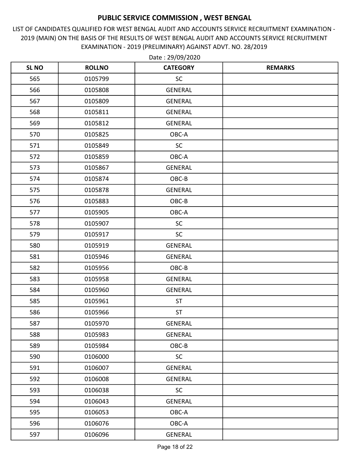LIST OF CANDIDATES QUALIFIED FOR WEST BENGAL AUDIT AND ACCOUNTS SERVICE RECRUITMENT EXAMINATION - 2019 (MAIN) ON THE BASIS OF THE RESULTS OF WEST BENGAL AUDIT AND ACCOUNTS SERVICE RECRUITMENT EXAMINATION - 2019 (PRELIMINARY) AGAINST ADVT. NO. 28/2019

| <b>SL NO</b> | <b>ROLLNO</b> | <b>CATEGORY</b> | <b>REMARKS</b> |
|--------------|---------------|-----------------|----------------|
| 565          | 0105799       | <b>SC</b>       |                |
| 566          | 0105808       | <b>GENERAL</b>  |                |
| 567          | 0105809       | <b>GENERAL</b>  |                |
| 568          | 0105811       | <b>GENERAL</b>  |                |
| 569          | 0105812       | <b>GENERAL</b>  |                |
| 570          | 0105825       | OBC-A           |                |
| 571          | 0105849       | <b>SC</b>       |                |
| 572          | 0105859       | OBC-A           |                |
| 573          | 0105867       | <b>GENERAL</b>  |                |
| 574          | 0105874       | OBC-B           |                |
| 575          | 0105878       | <b>GENERAL</b>  |                |
| 576          | 0105883       | OBC-B           |                |
| 577          | 0105905       | OBC-A           |                |
| 578          | 0105907       | SC              |                |
| 579          | 0105917       | <b>SC</b>       |                |
| 580          | 0105919       | <b>GENERAL</b>  |                |
| 581          | 0105946       | <b>GENERAL</b>  |                |
| 582          | 0105956       | OBC-B           |                |
| 583          | 0105958       | <b>GENERAL</b>  |                |
| 584          | 0105960       | <b>GENERAL</b>  |                |
| 585          | 0105961       | <b>ST</b>       |                |
| 586          | 0105966       | ST              |                |
| 587          | 0105970       | <b>GENERAL</b>  |                |
| 588          | 0105983       | <b>GENERAL</b>  |                |
| 589          | 0105984       | OBC-B           |                |
| 590          | 0106000       | <b>SC</b>       |                |
| 591          | 0106007       | <b>GENERAL</b>  |                |
| 592          | 0106008       | <b>GENERAL</b>  |                |
| 593          | 0106038       | <b>SC</b>       |                |
| 594          | 0106043       | <b>GENERAL</b>  |                |
| 595          | 0106053       | OBC-A           |                |
| 596          | 0106076       | OBC-A           |                |
| 597          | 0106096       | GENERAL         |                |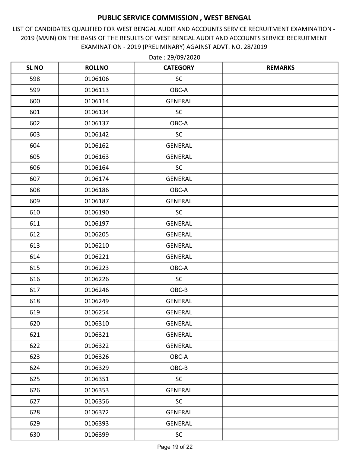LIST OF CANDIDATES QUALIFIED FOR WEST BENGAL AUDIT AND ACCOUNTS SERVICE RECRUITMENT EXAMINATION - 2019 (MAIN) ON THE BASIS OF THE RESULTS OF WEST BENGAL AUDIT AND ACCOUNTS SERVICE RECRUITMENT EXAMINATION - 2019 (PRELIMINARY) AGAINST ADVT. NO. 28/2019

| <b>SL NO</b> | <b>ROLLNO</b> | <b>CATEGORY</b> | <b>REMARKS</b> |
|--------------|---------------|-----------------|----------------|
| 598          | 0106106       | SC              |                |
| 599          | 0106113       | OBC-A           |                |
| 600          | 0106114       | <b>GENERAL</b>  |                |
| 601          | 0106134       | SC              |                |
| 602          | 0106137       | OBC-A           |                |
| 603          | 0106142       | <b>SC</b>       |                |
| 604          | 0106162       | <b>GENERAL</b>  |                |
| 605          | 0106163       | <b>GENERAL</b>  |                |
| 606          | 0106164       | SC              |                |
| 607          | 0106174       | <b>GENERAL</b>  |                |
| 608          | 0106186       | OBC-A           |                |
| 609          | 0106187       | <b>GENERAL</b>  |                |
| 610          | 0106190       | <b>SC</b>       |                |
| 611          | 0106197       | <b>GENERAL</b>  |                |
| 612          | 0106205       | <b>GENERAL</b>  |                |
| 613          | 0106210       | <b>GENERAL</b>  |                |
| 614          | 0106221       | <b>GENERAL</b>  |                |
| 615          | 0106223       | $OBC-A$         |                |
| 616          | 0106226       | <b>SC</b>       |                |
| 617          | 0106246       | OBC-B           |                |
| 618          | 0106249       | <b>GENERAL</b>  |                |
| 619          | 0106254       | <b>GENERAL</b>  |                |
| 620          | 0106310       | <b>GENERAL</b>  |                |
| 621          | 0106321       | <b>GENERAL</b>  |                |
| 622          | 0106322       | <b>GENERAL</b>  |                |
| 623          | 0106326       | OBC-A           |                |
| 624          | 0106329       | OBC-B           |                |
| 625          | 0106351       | <b>SC</b>       |                |
| 626          | 0106353       | <b>GENERAL</b>  |                |
| 627          | 0106356       | <b>SC</b>       |                |
| 628          | 0106372       | <b>GENERAL</b>  |                |
| 629          | 0106393       | GENERAL         |                |
| 630          | 0106399       | $\sf SC$        |                |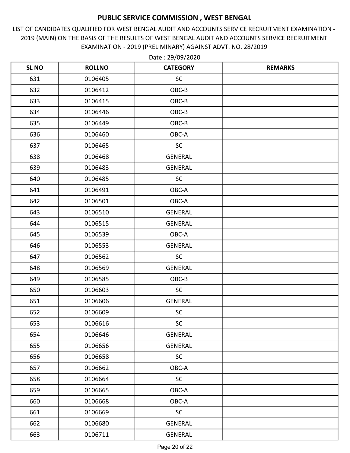LIST OF CANDIDATES QUALIFIED FOR WEST BENGAL AUDIT AND ACCOUNTS SERVICE RECRUITMENT EXAMINATION - 2019 (MAIN) ON THE BASIS OF THE RESULTS OF WEST BENGAL AUDIT AND ACCOUNTS SERVICE RECRUITMENT EXAMINATION - 2019 (PRELIMINARY) AGAINST ADVT. NO. 28/2019

| <b>SL NO</b> | <b>ROLLNO</b> | <b>CATEGORY</b> | <b>REMARKS</b> |
|--------------|---------------|-----------------|----------------|
| 631          | 0106405       | <b>SC</b>       |                |
| 632          | 0106412       | $OBC-B$         |                |
| 633          | 0106415       | OBC-B           |                |
| 634          | 0106446       | OBC-B           |                |
| 635          | 0106449       | $OBC-B$         |                |
| 636          | 0106460       | OBC-A           |                |
| 637          | 0106465       | <b>SC</b>       |                |
| 638          | 0106468       | <b>GENERAL</b>  |                |
| 639          | 0106483       | <b>GENERAL</b>  |                |
| 640          | 0106485       | <b>SC</b>       |                |
| 641          | 0106491       | OBC-A           |                |
| 642          | 0106501       | OBC-A           |                |
| 643          | 0106510       | <b>GENERAL</b>  |                |
| 644          | 0106515       | <b>GENERAL</b>  |                |
| 645          | 0106539       | OBC-A           |                |
| 646          | 0106553       | <b>GENERAL</b>  |                |
| 647          | 0106562       | SC              |                |
| 648          | 0106569       | <b>GENERAL</b>  |                |
| 649          | 0106585       | OBC-B           |                |
| 650          | 0106603       | <b>SC</b>       |                |
| 651          | 0106606       | <b>GENERAL</b>  |                |
| 652          | 0106609       | SC              |                |
| 653          | 0106616       | SC              |                |
| 654          | 0106646       | <b>GENERAL</b>  |                |
| 655          | 0106656       | <b>GENERAL</b>  |                |
| 656          | 0106658       | SC              |                |
| 657          | 0106662       | OBC-A           |                |
| 658          | 0106664       | <b>SC</b>       |                |
| 659          | 0106665       | OBC-A           |                |
| 660          | 0106668       | OBC-A           |                |
| 661          | 0106669       | SC              |                |
| 662          | 0106680       | <b>GENERAL</b>  |                |
| 663          | 0106711       | GENERAL         |                |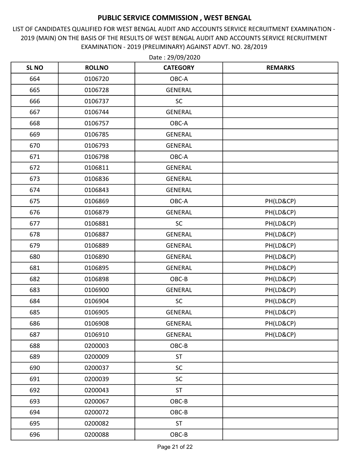LIST OF CANDIDATES QUALIFIED FOR WEST BENGAL AUDIT AND ACCOUNTS SERVICE RECRUITMENT EXAMINATION - 2019 (MAIN) ON THE BASIS OF THE RESULTS OF WEST BENGAL AUDIT AND ACCOUNTS SERVICE RECRUITMENT EXAMINATION - 2019 (PRELIMINARY) AGAINST ADVT. NO. 28/2019

| <b>SL NO</b> | <b>ROLLNO</b> | <b>CATEGORY</b> | <b>REMARKS</b> |
|--------------|---------------|-----------------|----------------|
| 664          | 0106720       | OBC-A           |                |
| 665          | 0106728       | <b>GENERAL</b>  |                |
| 666          | 0106737       | <b>SC</b>       |                |
| 667          | 0106744       | <b>GENERAL</b>  |                |
| 668          | 0106757       | OBC-A           |                |
| 669          | 0106785       | <b>GENERAL</b>  |                |
| 670          | 0106793       | <b>GENERAL</b>  |                |
| 671          | 0106798       | OBC-A           |                |
| 672          | 0106811       | <b>GENERAL</b>  |                |
| 673          | 0106836       | <b>GENERAL</b>  |                |
| 674          | 0106843       | <b>GENERAL</b>  |                |
| 675          | 0106869       | OBC-A           | PH(LD&CP)      |
| 676          | 0106879       | <b>GENERAL</b>  | PH(LD&CP)      |
| 677          | 0106881       | SC              | PH(LD&CP)      |
| 678          | 0106887       | <b>GENERAL</b>  | PH(LD&CP)      |
| 679          | 0106889       | <b>GENERAL</b>  | PH(LD&CP)      |
| 680          | 0106890       | <b>GENERAL</b>  | PH(LD&CP)      |
| 681          | 0106895       | <b>GENERAL</b>  | PH(LD&CP)      |
| 682          | 0106898       | OBC-B           | PH(LD&CP)      |
| 683          | 0106900       | <b>GENERAL</b>  | PH(LD&CP)      |
| 684          | 0106904       | SC              | PH(LD&CP)      |
| 685          | 0106905       | <b>GENERAL</b>  | PH(LD&CP)      |
| 686          | 0106908       | <b>GENERAL</b>  | PH(LD&CP)      |
| 687          | 0106910       | <b>GENERAL</b>  | PH(LD&CP)      |
| 688          | 0200003       | OBC-B           |                |
| 689          | 0200009       | <b>ST</b>       |                |
| 690          | 0200037       | <b>SC</b>       |                |
| 691          | 0200039       | <b>SC</b>       |                |
| 692          | 0200043       | <b>ST</b>       |                |
| 693          | 0200067       | OBC-B           |                |
| 694          | 0200072       | OBC-B           |                |
| 695          | 0200082       | <b>ST</b>       |                |
| 696          | 0200088       | OBC-B           |                |